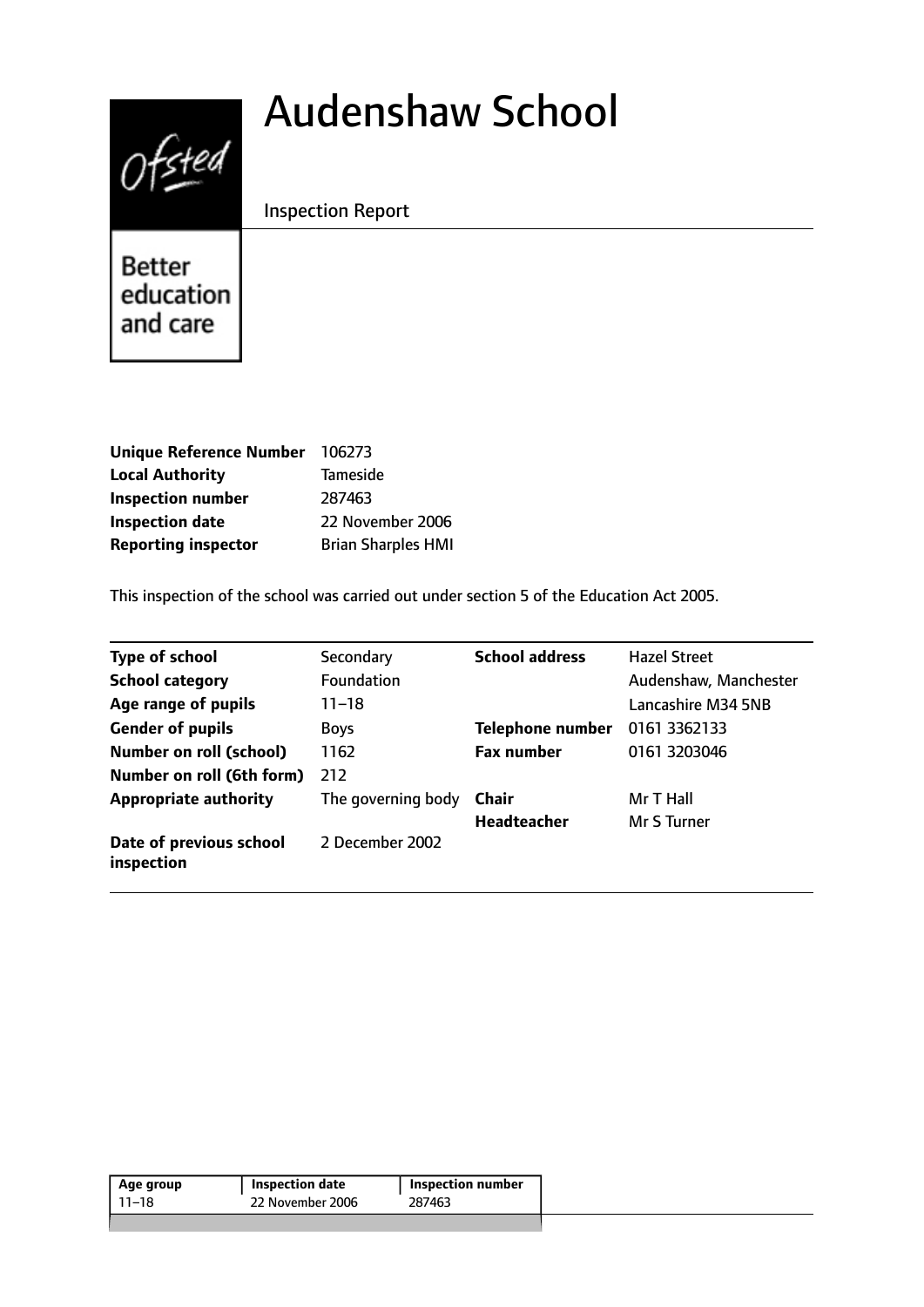# $0$ fsted

# Audenshaw School

Inspection Report

Better education and care

| Unique Reference Number 106273 |                           |
|--------------------------------|---------------------------|
| <b>Local Authority</b>         | <b>Tameside</b>           |
| <b>Inspection number</b>       | 287463                    |
| <b>Inspection date</b>         | 22 November 2006          |
| <b>Reporting inspector</b>     | <b>Brian Sharples HMI</b> |

This inspection of the school was carried out under section 5 of the Education Act 2005.

| <b>Type of school</b>                 | Secondary          | <b>School address</b>   | <b>Hazel Street</b>   |
|---------------------------------------|--------------------|-------------------------|-----------------------|
| <b>School category</b>                | <b>Foundation</b>  |                         | Audenshaw, Manchester |
| Age range of pupils                   | 11–18              |                         | Lancashire M34 5NB    |
| <b>Gender of pupils</b>               | <b>Boys</b>        | <b>Telephone number</b> | 0161 3362133          |
| <b>Number on roll (school)</b>        | 1162               | <b>Fax number</b>       | 0161 3203046          |
| Number on roll (6th form)             | 212                |                         |                       |
| <b>Appropriate authority</b>          | The governing body | Chair                   | Mr T Hall             |
|                                       |                    | <b>Headteacher</b>      | Mr S Turner           |
| Date of previous school<br>inspection | 2 December 2002    |                         |                       |

| Age group | <b>Inspection date</b> | Inspection number |
|-----------|------------------------|-------------------|
| 11–18     | 22 November 2006       | 287463            |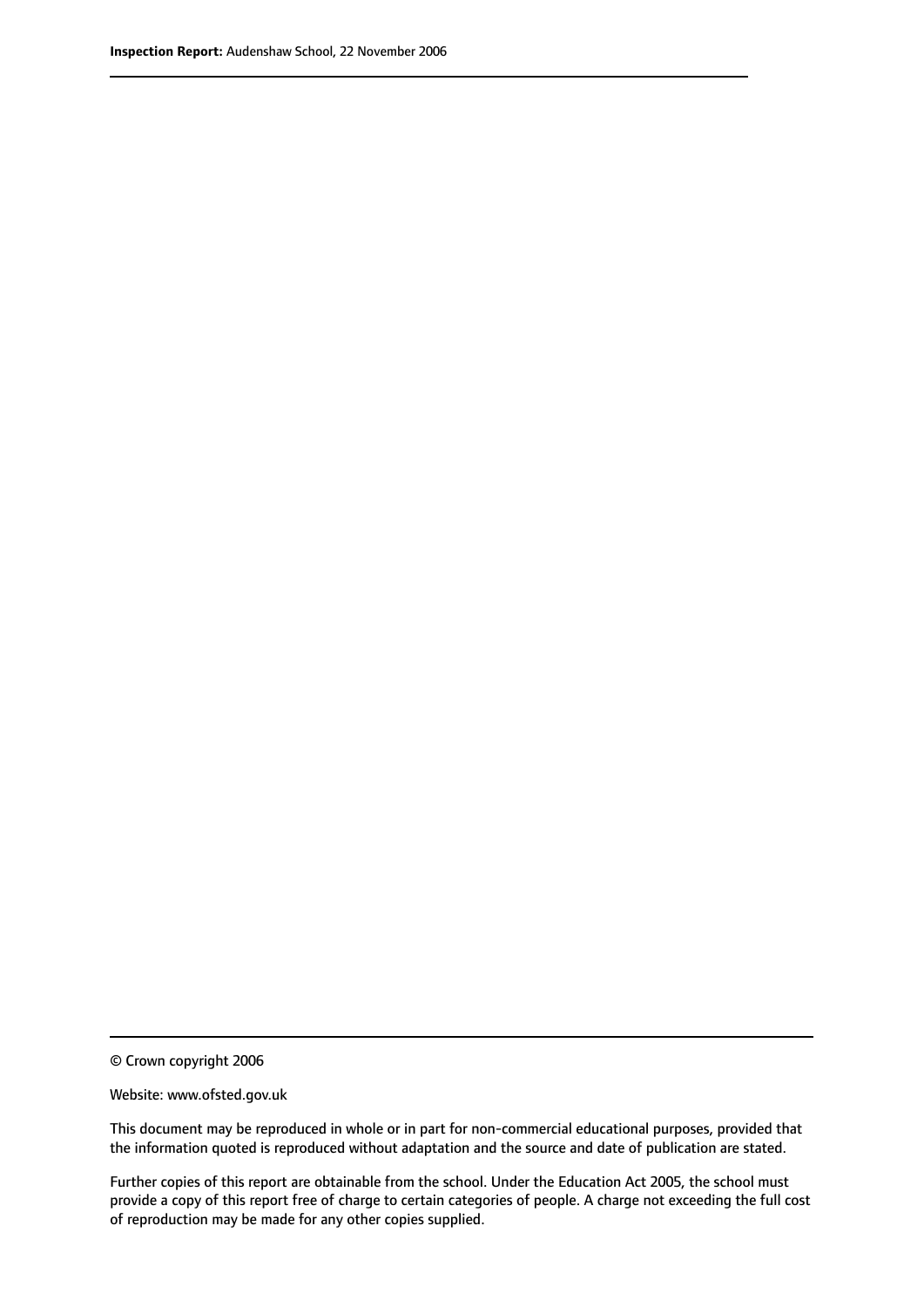© Crown copyright 2006

Website: www.ofsted.gov.uk

This document may be reproduced in whole or in part for non-commercial educational purposes, provided that the information quoted is reproduced without adaptation and the source and date of publication are stated.

Further copies of this report are obtainable from the school. Under the Education Act 2005, the school must provide a copy of this report free of charge to certain categories of people. A charge not exceeding the full cost of reproduction may be made for any other copies supplied.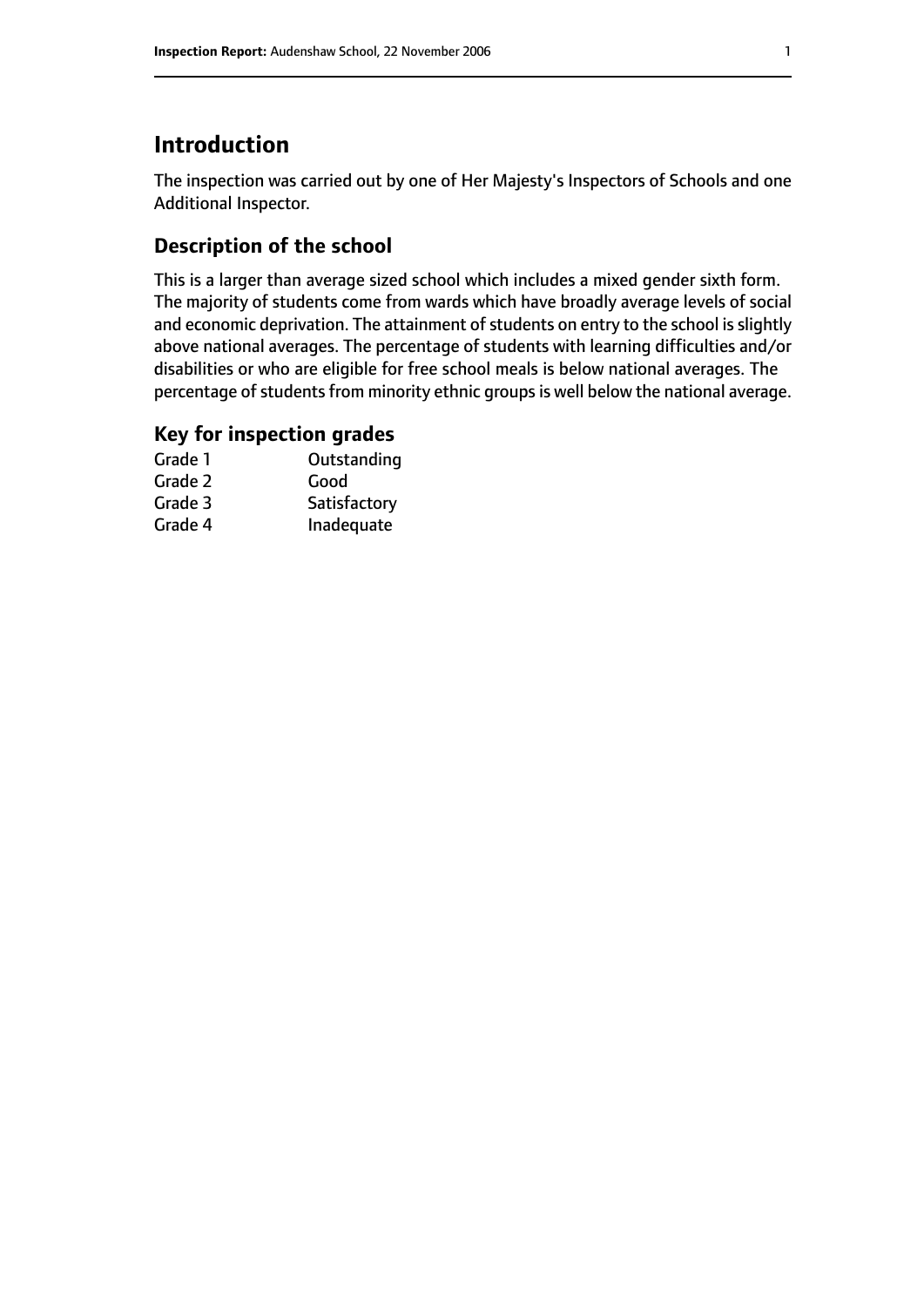# **Introduction**

The inspection was carried out by one of Her Majesty's Inspectors of Schools and one Additional Inspector.

# **Description of the school**

This is a larger than average sized school which includes a mixed gender sixth form. The majority of students come from wards which have broadly average levels of social and economic deprivation. The attainment of students on entry to the school is slightly above national averages. The percentage of students with learning difficulties and/or disabilities or who are eligible for free school meals is below national averages. The percentage of students from minority ethnic groups is well below the national average.

# **Key for inspection grades**

| Grade 1 | Outstanding  |
|---------|--------------|
| Grade 2 | Good         |
| Grade 3 | Satisfactory |
| Grade 4 | Inadequate   |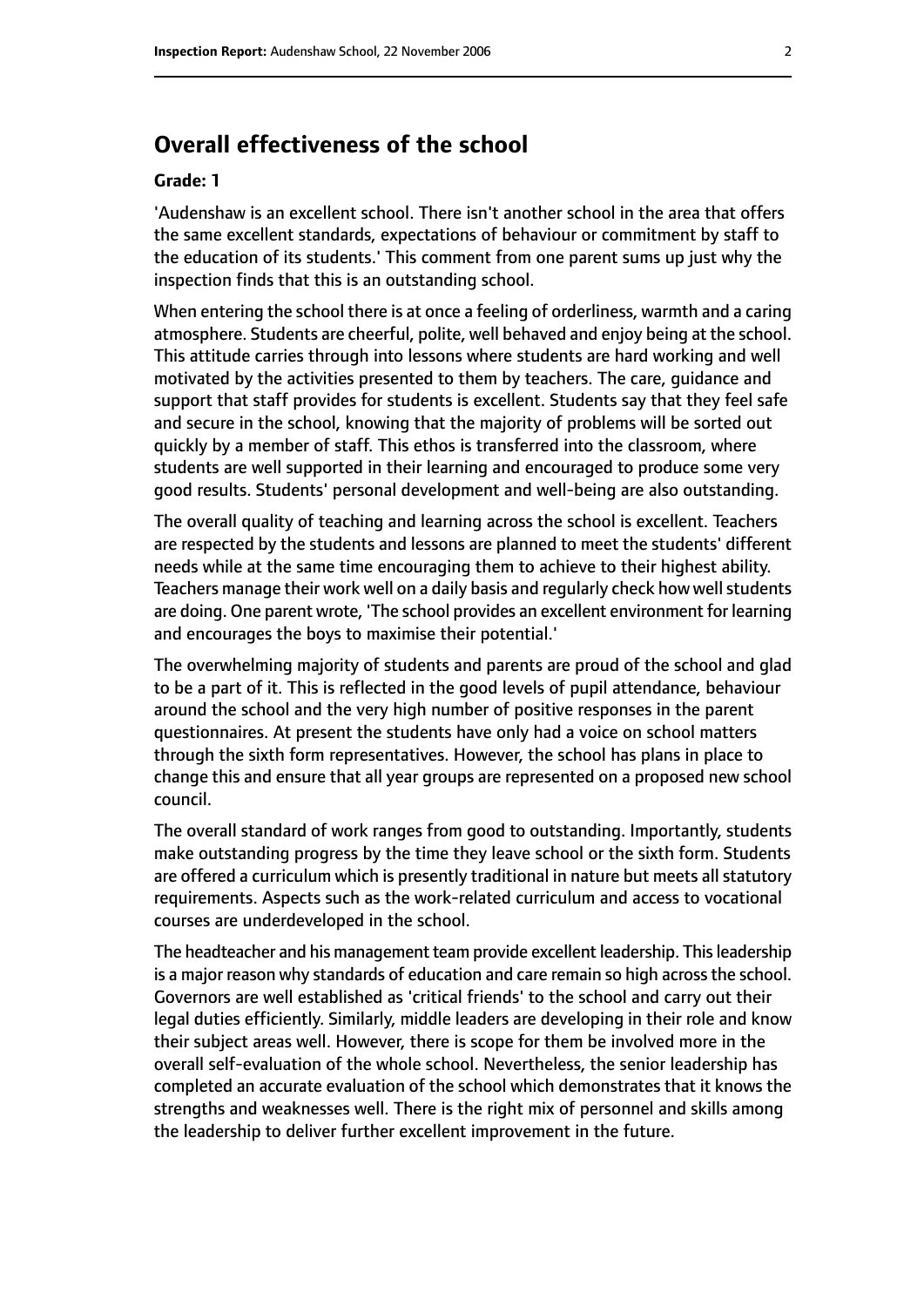# **Overall effectiveness of the school**

#### **Grade: 1**

'Audenshaw is an excellent school. There isn't another school in the area that offers the same excellent standards, expectations of behaviour or commitment by staff to the education of its students.' This comment from one parent sums up just why the inspection finds that this is an outstanding school.

When entering the school there is at once a feeling of orderliness, warmth and a caring atmosphere. Students are cheerful, polite, well behaved and enjoy being at the school. This attitude carries through into lessons where students are hard working and well motivated by the activities presented to them by teachers. The care, guidance and support that staff provides for students is excellent. Students say that they feel safe and secure in the school, knowing that the majority of problems will be sorted out quickly by a member of staff. This ethos is transferred into the classroom, where students are well supported in their learning and encouraged to produce some very good results. Students' personal development and well-being are also outstanding.

The overall quality of teaching and learning across the school is excellent. Teachers are respected by the students and lessons are planned to meet the students' different needs while at the same time encouraging them to achieve to their highest ability. Teachers manage their work well on a daily basis and regularly check how well students are doing. One parent wrote, 'The school provides an excellent environment for learning and encourages the boys to maximise their potential.'

The overwhelming majority of students and parents are proud of the school and glad to be a part of it. This is reflected in the good levels of pupil attendance, behaviour around the school and the very high number of positive responses in the parent questionnaires. At present the students have only had a voice on school matters through the sixth form representatives. However, the school has plans in place to change this and ensure that all year groups are represented on a proposed new school council.

The overall standard of work ranges from good to outstanding. Importantly, students make outstanding progress by the time they leave school or the sixth form. Students are offered a curriculum which is presently traditional in nature but meets all statutory requirements. Aspects such as the work-related curriculum and access to vocational courses are underdeveloped in the school.

The headteacher and his management team provide excellent leadership. Thisleadership is a major reason why standards of education and care remain so high across the school. Governors are well established as 'critical friends' to the school and carry out their legal duties efficiently. Similarly, middle leaders are developing in their role and know their subject areas well. However, there is scope for them be involved more in the overall self-evaluation of the whole school. Nevertheless, the senior leadership has completed an accurate evaluation of the school which demonstrates that it knows the strengths and weaknesses well. There is the right mix of personnel and skills among the leadership to deliver further excellent improvement in the future.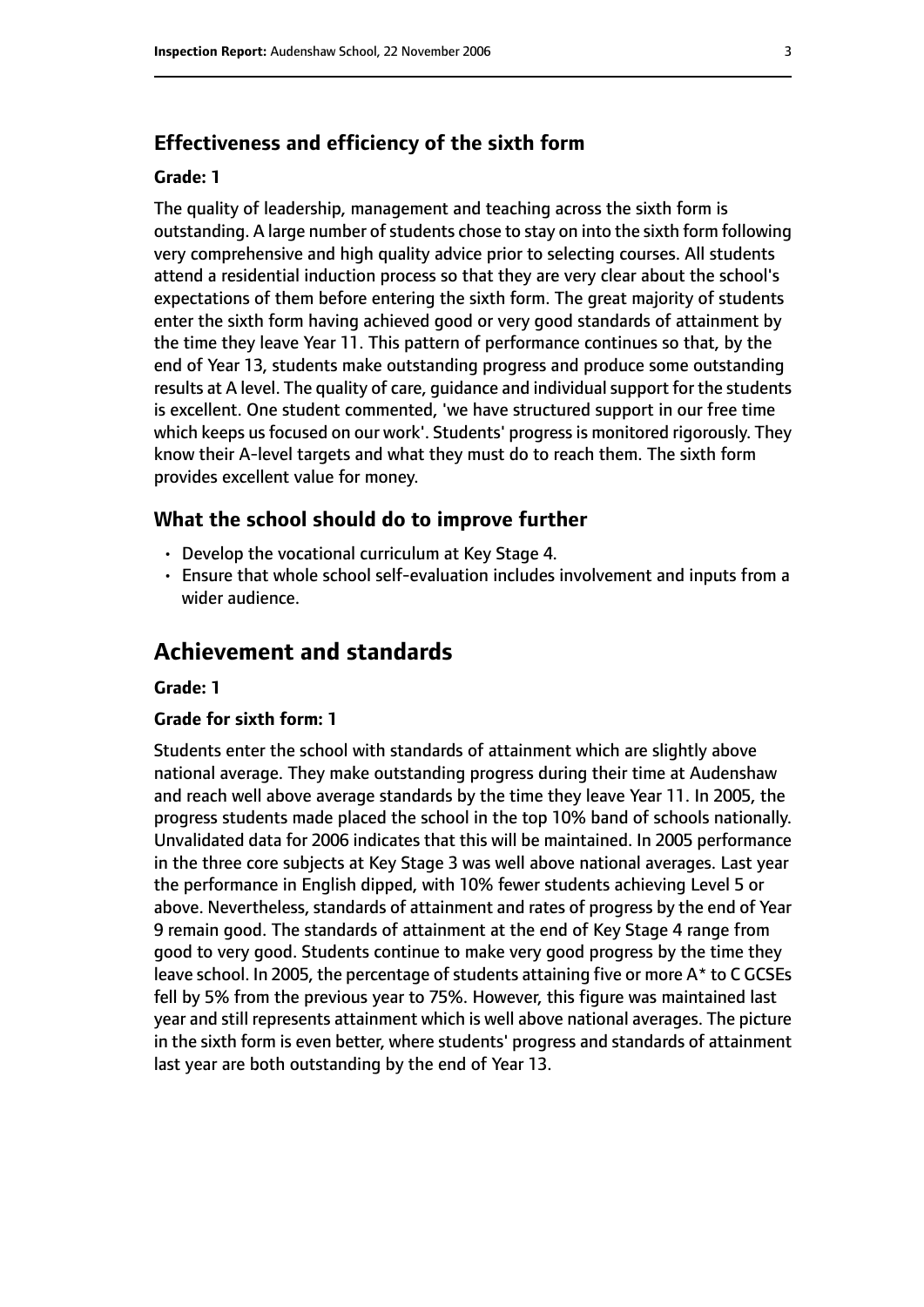#### **Effectiveness and efficiency of the sixth form**

#### **Grade: 1**

The quality of leadership, management and teaching across the sixth form is outstanding. A large number of students chose to stay on into the sixth form following very comprehensive and high quality advice prior to selecting courses. All students attend a residential induction process so that they are very clear about the school's expectations of them before entering the sixth form. The great majority of students enter the sixth form having achieved good or very good standards of attainment by the time they leave Year 11. This pattern of performance continues so that, by the end of Year 13, students make outstanding progress and produce some outstanding results at A level. The quality of care, guidance and individual support for the students is excellent. One student commented, 'we have structured support in our free time which keeps us focused on our work'. Students' progress is monitored rigorously. They know their A-level targets and what they must do to reach them. The sixth form provides excellent value for money.

#### **What the school should do to improve further**

- Develop the vocational curriculum at Key Stage 4.
- Ensure that whole school self-evaluation includes involvement and inputs from a wider audience.

# **Achievement and standards**

#### **Grade: 1**

#### **Grade for sixth form: 1**

Students enter the school with standards of attainment which are slightly above national average. They make outstanding progress during their time at Audenshaw and reach well above average standards by the time they leave Year 11. In 2005, the progress students made placed the school in the top 10% band of schools nationally. Unvalidated data for 2006 indicates that this will be maintained. In 2005 performance in the three core subjects at Key Stage 3 was well above national averages. Last year the performance in English dipped, with 10% fewer students achieving Level 5 or above. Nevertheless, standards of attainment and rates of progress by the end of Year 9 remain good. The standards of attainment at the end of Key Stage 4 range from good to very good. Students continue to make very good progress by the time they leave school. In 2005, the percentage of students attaining five or more A\* to C GCSEs fell by 5% from the previous year to 75%. However, this figure was maintained last year and still represents attainment which is well above national averages. The picture in the sixth form is even better, where students' progress and standards of attainment last year are both outstanding by the end of Year 13.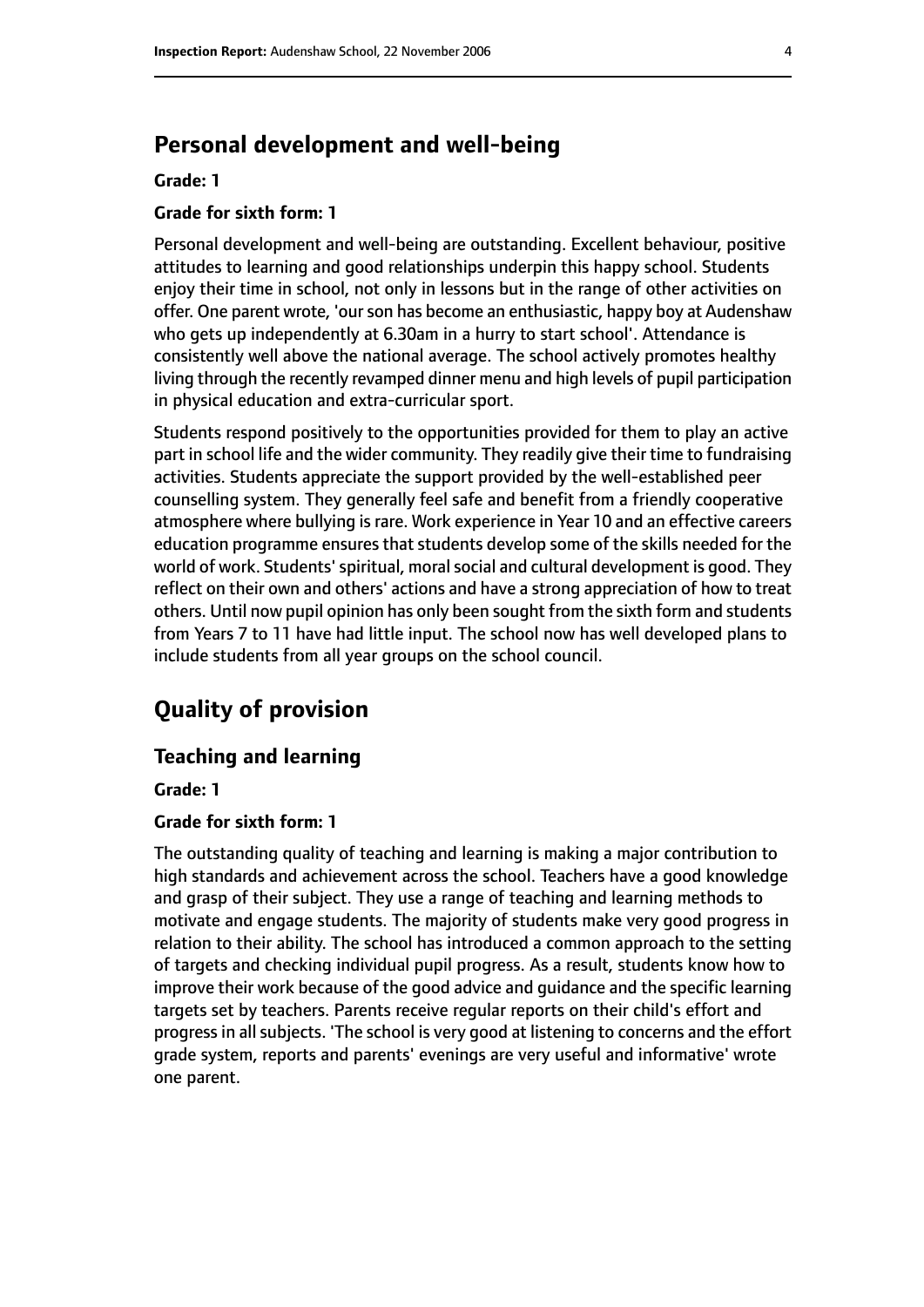# **Personal development and well-being**

#### **Grade: 1**

#### **Grade for sixth form: 1**

Personal development and well-being are outstanding. Excellent behaviour, positive attitudes to learning and good relationships underpin this happy school. Students enjoy their time in school, not only in lessons but in the range of other activities on offer. One parent wrote, 'our son has become an enthusiastic, happy boy at Audenshaw who gets up independently at 6.30am in a hurry to start school'. Attendance is consistently well above the national average. The school actively promotes healthy living through the recently revamped dinner menu and high levels of pupil participation in physical education and extra-curricular sport.

Students respond positively to the opportunities provided for them to play an active part in school life and the wider community. They readily give their time to fundraising activities. Students appreciate the support provided by the well-established peer counselling system. They generally feel safe and benefit from a friendly cooperative atmosphere where bullying is rare. Work experience in Year 10 and an effective careers education programme ensures that students develop some of the skills needed for the world of work. Students' spiritual, moral social and cultural development is good. They reflect on their own and others' actions and have a strong appreciation of how to treat others. Until now pupil opinion has only been sought from the sixth form and students from Years 7 to 11 have had little input. The school now has well developed plans to include students from all year groups on the school council.

# **Quality of provision**

#### **Teaching and learning**

#### **Grade: 1**

#### **Grade for sixth form: 1**

The outstanding quality of teaching and learning is making a major contribution to high standards and achievement across the school. Teachers have a good knowledge and grasp of their subject. They use a range of teaching and learning methods to motivate and engage students. The majority of students make very good progress in relation to their ability. The school has introduced a common approach to the setting of targets and checking individual pupil progress. As a result, students know how to improve their work because of the good advice and guidance and the specific learning targets set by teachers. Parents receive regular reports on their child's effort and progress in all subjects. 'The school is very good at listening to concerns and the effort grade system, reports and parents' evenings are very useful and informative' wrote one parent.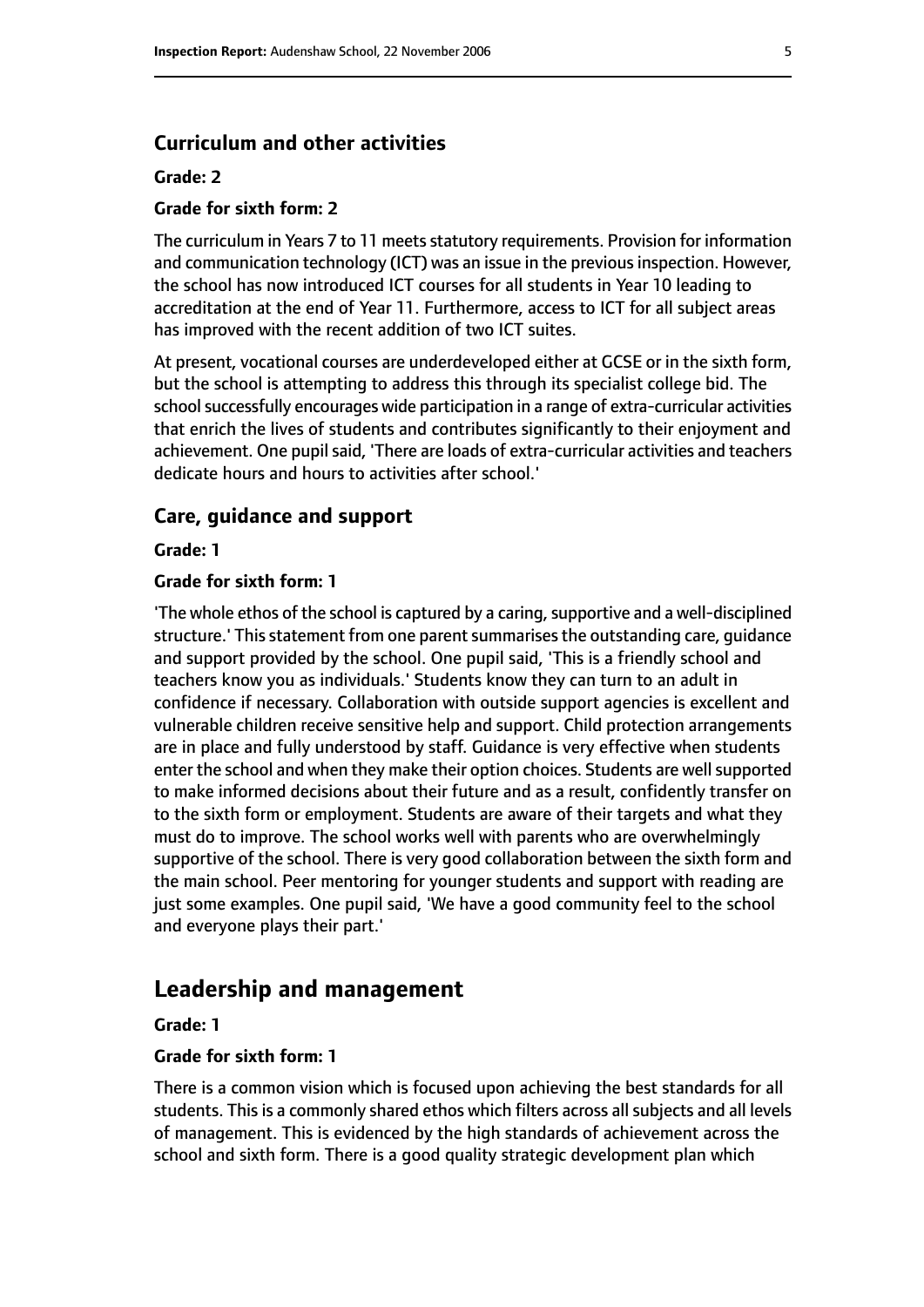#### **Curriculum and other activities**

#### **Grade: 2**

#### **Grade for sixth form: 2**

The curriculum in Years 7 to 11 meets statutory requirements. Provision for information and communication technology (ICT) was an issue in the previous inspection. However, the school has now introduced ICT courses for all students in Year 10 leading to accreditation at the end of Year 11. Furthermore, access to ICT for all subject areas has improved with the recent addition of two ICT suites.

At present, vocational courses are underdeveloped either at GCSE or in the sixth form, but the school is attempting to address this through its specialist college bid. The school successfully encourages wide participation in a range of extra-curricular activities that enrich the lives of students and contributes significantly to their enjoyment and achievement. One pupil said, 'There are loads of extra-curricular activities and teachers dedicate hours and hours to activities after school.'

#### **Care, guidance and support**

**Grade: 1**

#### **Grade for sixth form: 1**

'The whole ethos of the school is captured by a caring, supportive and a well-disciplined structure.' This statement from one parent summarises the outstanding care, guidance and support provided by the school. One pupil said, 'This is a friendly school and teachers know you as individuals.' Students know they can turn to an adult in confidence if necessary. Collaboration with outside support agencies is excellent and vulnerable children receive sensitive help and support. Child protection arrangements are in place and fully understood by staff. Guidance is very effective when students enter the school and when they make their option choices. Students are well supported to make informed decisions about their future and as a result, confidently transfer on to the sixth form or employment. Students are aware of their targets and what they must do to improve. The school works well with parents who are overwhelmingly supportive of the school. There is very good collaboration between the sixth form and the main school. Peer mentoring for younger students and support with reading are just some examples. One pupil said, 'We have a good community feel to the school and everyone plays their part.'

# **Leadership and management**

#### **Grade: 1**

#### **Grade for sixth form: 1**

There is a common vision which is focused upon achieving the best standards for all students. This is a commonly shared ethos which filters across all subjects and all levels of management. This is evidenced by the high standards of achievement across the school and sixth form. There is a good quality strategic development plan which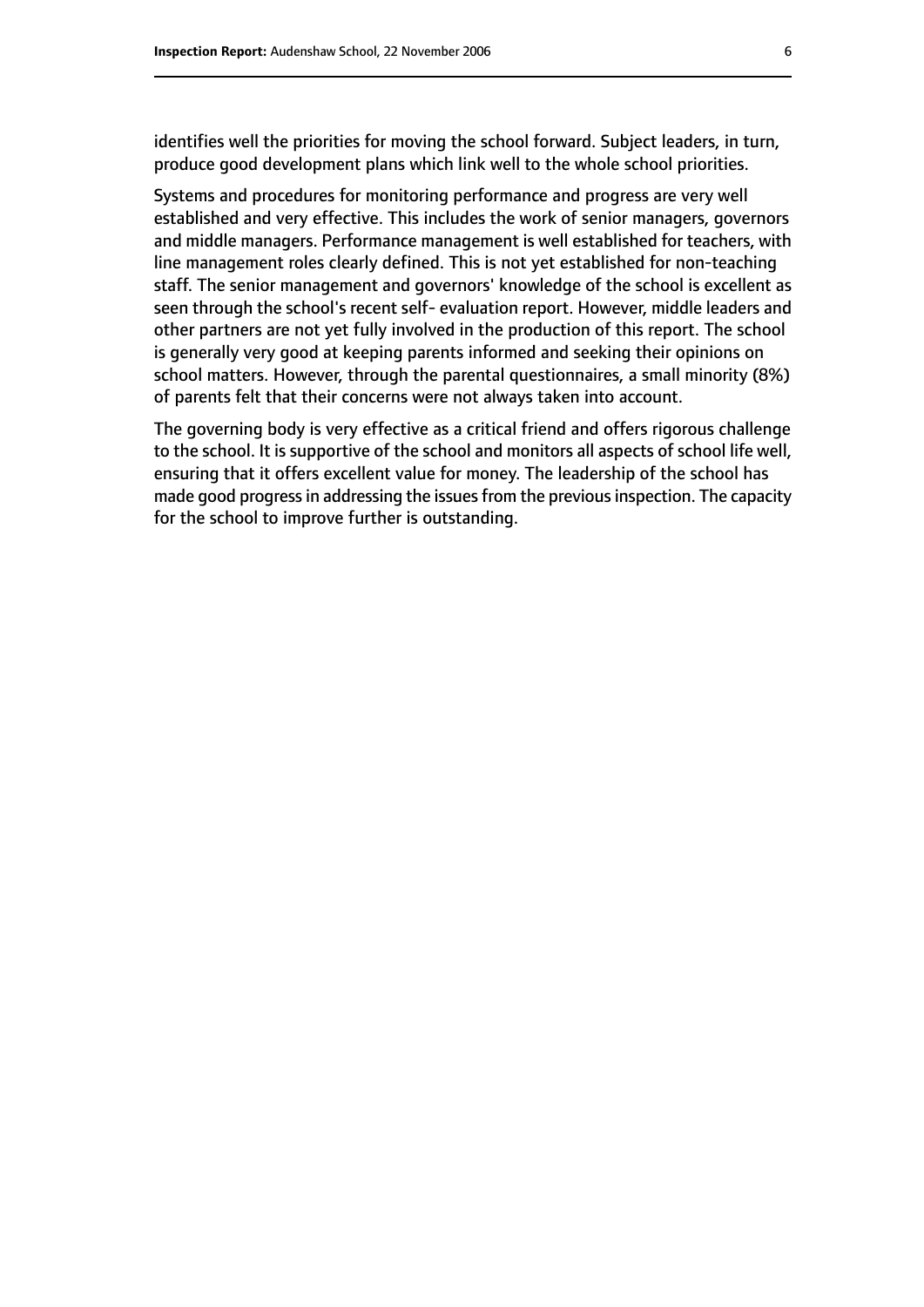identifies well the priorities for moving the school forward. Subject leaders, in turn, produce good development plans which link well to the whole school priorities.

Systems and procedures for monitoring performance and progress are very well established and very effective. This includes the work of senior managers, governors and middle managers. Performance management is well established for teachers, with line management roles clearly defined. This is not yet established for non-teaching staff. The senior management and governors' knowledge of the school is excellent as seen through the school's recent self- evaluation report. However, middle leaders and other partners are not yet fully involved in the production of this report. The school is generally very good at keeping parents informed and seeking their opinions on school matters. However, through the parental questionnaires, a small minority (8%) of parents felt that their concerns were not always taken into account.

The governing body is very effective as a critical friend and offers rigorous challenge to the school. It is supportive of the school and monitors all aspects of school life well, ensuring that it offers excellent value for money. The leadership of the school has made good progress in addressing the issues from the previous inspection. The capacity for the school to improve further is outstanding.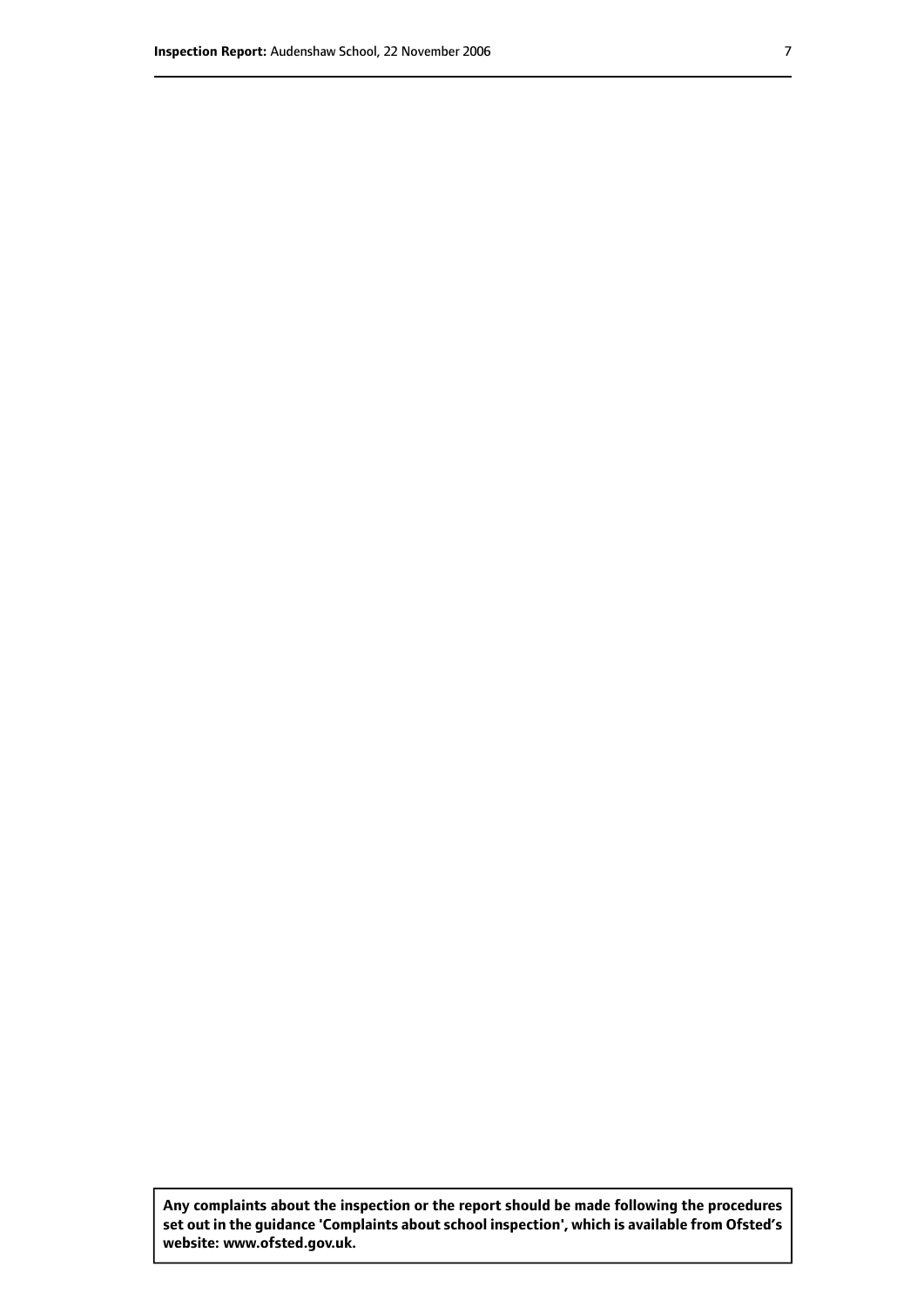**Any complaints about the inspection or the report should be made following the procedures set out inthe guidance 'Complaints about school inspection', whichis available from Ofsted's website: www.ofsted.gov.uk.**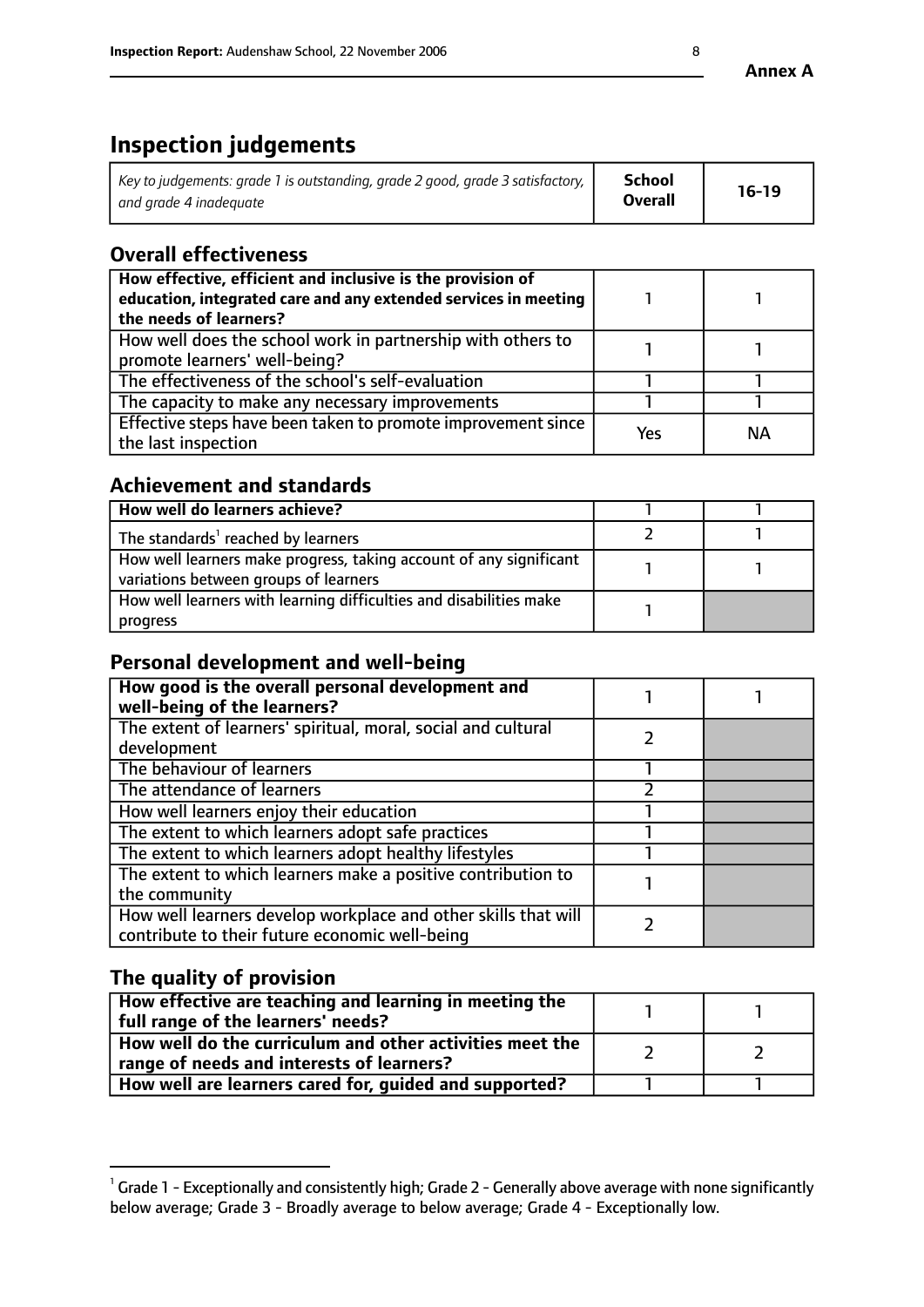# **Inspection judgements**

| Key to judgements: grade 1 is outstanding, grade 2 good, grade 3 satisfactory, $\mid$ | <b>School</b>  | $16-19$ |
|---------------------------------------------------------------------------------------|----------------|---------|
| and grade 4 inadeguate                                                                | <b>Overall</b> |         |

# **Overall effectiveness**

| How effective, efficient and inclusive is the provision of<br>education, integrated care and any extended services in meeting<br>the needs of learners? |     |    |
|---------------------------------------------------------------------------------------------------------------------------------------------------------|-----|----|
| How well does the school work in partnership with others to<br>promote learners' well-being?                                                            |     |    |
| The effectiveness of the school's self-evaluation                                                                                                       |     |    |
| The capacity to make any necessary improvements                                                                                                         |     |    |
| Effective steps have been taken to promote improvement since<br>the last inspection                                                                     | Yes | ΝA |

# **Achievement and standards**

| How well do learners achieve?                                                                               |  |
|-------------------------------------------------------------------------------------------------------------|--|
| The standards <sup>1</sup> reached by learners                                                              |  |
| How well learners make progress, taking account of any significant<br>variations between groups of learners |  |
| How well learners with learning difficulties and disabilities make<br>progress                              |  |

# **Personal development and well-being**

| How good is the overall personal development and<br>well-being of the learners?                                  |  |
|------------------------------------------------------------------------------------------------------------------|--|
| The extent of learners' spiritual, moral, social and cultural<br>development                                     |  |
| The behaviour of learners                                                                                        |  |
| The attendance of learners                                                                                       |  |
| How well learners enjoy their education                                                                          |  |
| The extent to which learners adopt safe practices                                                                |  |
| The extent to which learners adopt healthy lifestyles                                                            |  |
| The extent to which learners make a positive contribution to<br>the community                                    |  |
| How well learners develop workplace and other skills that will<br>contribute to their future economic well-being |  |

# **The quality of provision**

| How effective are teaching and learning in meeting the<br>full range of the learners' needs?          |  |
|-------------------------------------------------------------------------------------------------------|--|
| How well do the curriculum and other activities meet the<br>range of needs and interests of learners? |  |
| How well are learners cared for, guided and supported?                                                |  |

 $^1$  Grade 1 - Exceptionally and consistently high; Grade 2 - Generally above average with none significantly below average; Grade 3 - Broadly average to below average; Grade 4 - Exceptionally low.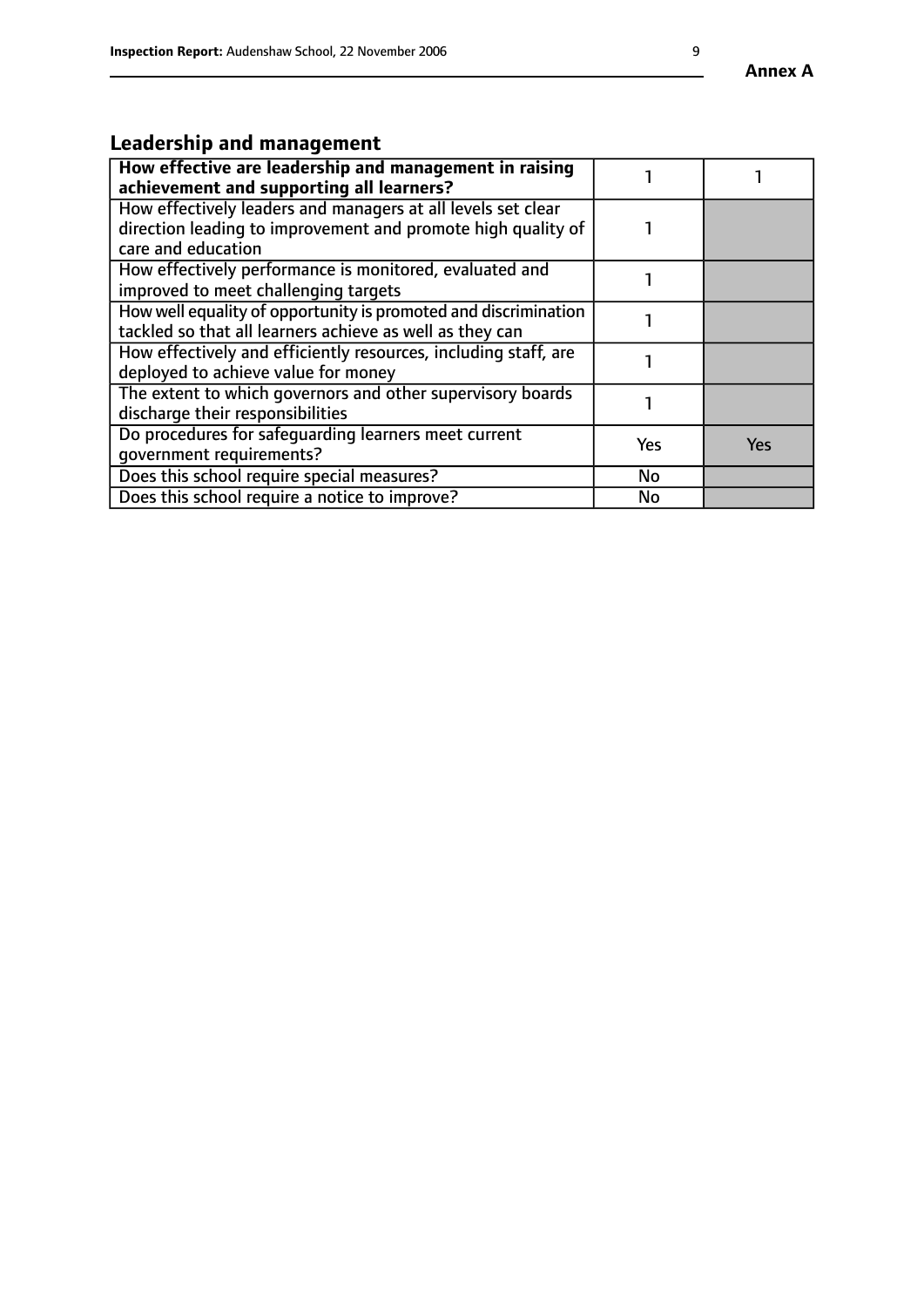# **Leadership and management**

| How effective are leadership and management in raising<br>achievement and supporting all learners?                                                 |     |            |
|----------------------------------------------------------------------------------------------------------------------------------------------------|-----|------------|
| How effectively leaders and managers at all levels set clear<br>direction leading to improvement and promote high quality of<br>care and education |     |            |
| How effectively performance is monitored, evaluated and<br>improved to meet challenging targets                                                    |     |            |
| How well equality of opportunity is promoted and discrimination<br>tackled so that all learners achieve as well as they can                        |     |            |
| How effectively and efficiently resources, including staff, are<br>deployed to achieve value for money                                             |     |            |
| The extent to which governors and other supervisory boards<br>discharge their responsibilities                                                     |     |            |
| Do procedures for safeguarding learners meet current<br>qovernment requirements?                                                                   | Yes | <b>Yes</b> |
| Does this school require special measures?                                                                                                         | No  |            |
| Does this school require a notice to improve?                                                                                                      | No  |            |